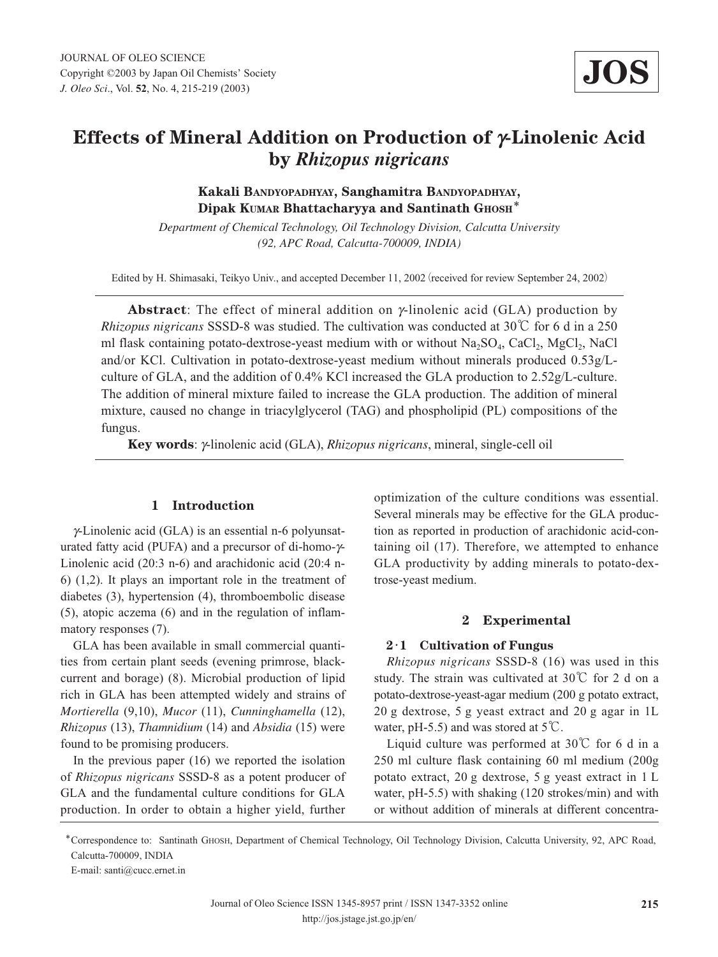# **Effects of Mineral Addition on Production of g-Linolenic Acid by** *Rhizopus nigricans*

**Kakali BANDYOPADHYAY, Sanghamitra BANDYOPADHYAY, Dipak KUMAR Bhattacharyya and Santinath GHOSH**\*

*Department of Chemical Technology, Oil Technology Division, Calcutta University (92, APC Road, Calcutta-700009, INDIA)*

Edited by H. Shimasaki, Teikyo Univ., and accepted December 11, 2002 (received for review September 24, 2002)

**Abstract**: The effect of mineral addition on  $\gamma$ -linolenic acid (GLA) production by *Rhizopus nigricans* SSSD-8 was studied. The cultivation was conducted at 30℃ for 6 d in a 250 ml flask containing potato-dextrose-yeast medium with or without  $Na_2SO_4$ , CaCl<sub>2</sub>, MgCl<sub>2</sub>, NaCl and/or KCl. Cultivation in potato-dextrose-yeast medium without minerals produced 0.53g/Lculture of GLA, and the addition of 0.4% KCl increased the GLA production to 2.52g/L-culture. The addition of mineral mixture failed to increase the GLA production. The addition of mineral mixture, caused no change in triacylglycerol (TAG) and phospholipid (PL) compositions of the fungus.

**Key words**: *y*-linolenic acid (GLA), *Rhizopus nigricans*, mineral, single-cell oil

## **1 Introduction**

 $\gamma$ -Linolenic acid (GLA) is an essential n-6 polyunsaturated fatty acid (PUFA) and a precursor of di-homo- $\nu$ -Linolenic acid (20:3 n-6) and arachidonic acid (20:4 n-6) (1,2). It plays an important role in the treatment of diabetes (3), hypertension (4), thromboembolic disease (5), atopic aczema (6) and in the regulation of inflammatory responses (7).

GLA has been available in small commercial quantities from certain plant seeds (evening primrose, blackcurrent and borage) (8). Microbial production of lipid rich in GLA has been attempted widely and strains of *Mortierella* (9,10), *Mucor* (11), *Cunninghamella* (12), *Rhizopus* (13), *Thamnidium* (14) and *Absidia* (15) were found to be promising producers.

In the previous paper (16) we reported the isolation of *Rhizopus nigricans* SSSD-8 as a potent producer of GLA and the fundamental culture conditions for GLA production. In order to obtain a higher yield, further optimization of the culture conditions was essential. Several minerals may be effective for the GLA production as reported in production of arachidonic acid-containing oil (17). Therefore, we attempted to enhance GLA productivity by adding minerals to potato-dextrose-yeast medium.

### **2 Experimental**

#### **2**・**1 Cultivation of Fungus**

*Rhizopus nigricans* SSSD-8 (16) was used in this study. The strain was cultivated at 30℃ for 2 d on a potato-dextrose-yeast-agar medium (200 g potato extract, 20 g dextrose, 5 g yeast extract and 20 g agar in 1L water, pH-5.5) and was stored at  $5^{\circ}C$ .

Liquid culture was performed at 30℃ for 6 d in a 250 ml culture flask containing 60 ml medium (200g potato extract, 20 g dextrose, 5 g yeast extract in 1 L water, pH-5.5) with shaking (120 strokes/min) and with or without addition of minerals at different concentra-

\*Correspondence to: Santinath GHOSH, Department of Chemical Technology, Oil Technology Division, Calcutta University, 92, APC Road, Calcutta-700009, INDIA

E-mail: santi@cucc.ernet.in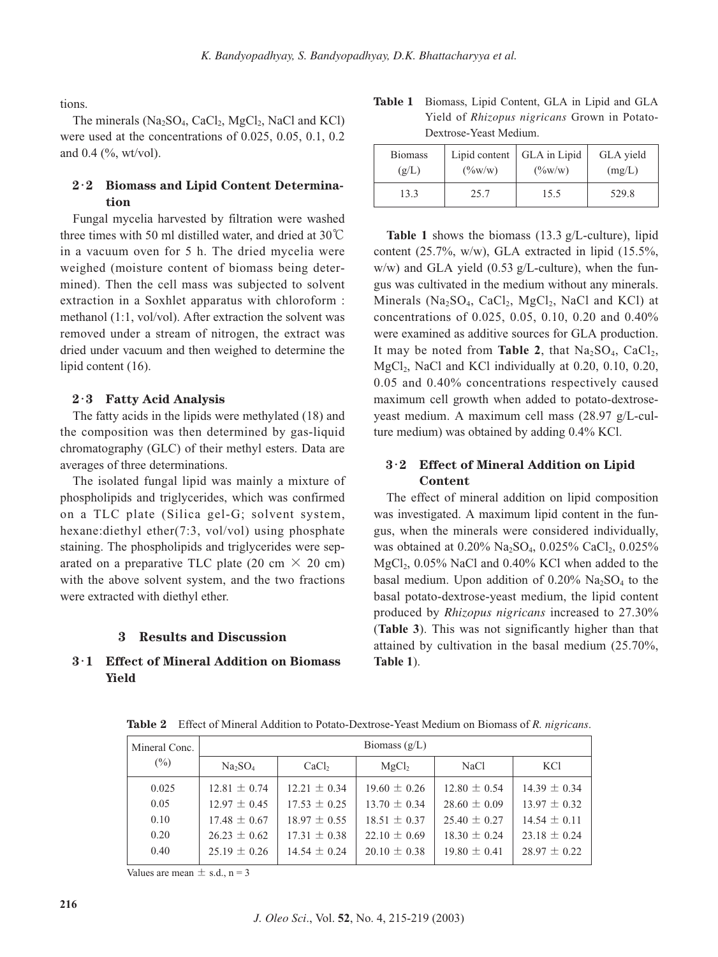tions.

The minerals  $(Na_2SO_4, CaCl_2, MgCl_2, NaCl$  and KCl) were used at the concentrations of 0.025, 0.05, 0.1, 0.2 and 0.4 (%, wt/vol).

# **2**・**2 Biomass and Lipid Content Determination**

Fungal mycelia harvested by filtration were washed three times with 50 ml distilled water, and dried at 30℃ in a vacuum oven for 5 h. The dried mycelia were weighed (moisture content of biomass being determined). Then the cell mass was subjected to solvent extraction in a Soxhlet apparatus with chloroform : methanol (1:1, vol/vol). After extraction the solvent was removed under a stream of nitrogen, the extract was dried under vacuum and then weighed to determine the lipid content (16).

#### **2**・**3 Fatty Acid Analysis**

The fatty acids in the lipids were methylated (18) and the composition was then determined by gas-liquid chromatography (GLC) of their methyl esters. Data are averages of three determinations.

The isolated fungal lipid was mainly a mixture of phospholipids and triglycerides, which was confirmed on a TLC plate (Silica gel-G; solvent system, hexane:diethyl ether(7:3, vol/vol) using phosphate staining. The phospholipids and triglycerides were separated on a preparative TLC plate (20 cm  $\times$  20 cm) with the above solvent system, and the two fractions were extracted with diethyl ether.

#### **3 Results and Discussion**

## **3**・**1 Effect of Mineral Addition on Biomass Yield**

| <b>Table 1</b> Biomass, Lipid Content, GLA in Lipid and GLA |
|-------------------------------------------------------------|
| Yield of <i>Rhizopus nigricans</i> Grown in Potato-         |
| Dextrose-Yeast Medium.                                      |

| <b>Biomass</b> | Lipid content   | GLA in Lipid       | GLA yield |  |
|----------------|-----------------|--------------------|-----------|--|
| (g/L)          | $(\frac{6}{W})$ | $(\frac{9}{6}W/W)$ | (mg/L)    |  |
| 13.3           | 25.7            | 15.5               | 529.8     |  |

**Table 1** shows the biomass (13.3 g/L-culture), lipid content (25.7%, w/w), GLA extracted in lipid (15.5%,  $w/w$ ) and GLA yield (0.53 g/L-culture), when the fungus was cultivated in the medium without any minerals. Minerals ( $Na<sub>2</sub>SO<sub>4</sub>$ ,  $CaCl<sub>2</sub>$ ,  $MgCl<sub>2</sub>$ , NaCl and KCl) at concentrations of 0.025, 0.05, 0.10, 0.20 and 0.40% were examined as additive sources for GLA production. It may be noted from **Table 2**, that  $Na<sub>2</sub>SO<sub>4</sub>$ , CaCl<sub>2</sub>, MgCl<sub>2</sub>, NaCl and KCl individually at  $0.20$ ,  $0.10$ ,  $0.20$ , 0.05 and 0.40% concentrations respectively caused maximum cell growth when added to potato-dextroseyeast medium. A maximum cell mass (28.97 g/L-culture medium) was obtained by adding 0.4% KCl.

## **3**・**2 Effect of Mineral Addition on Lipid Content**

The effect of mineral addition on lipid composition was investigated. A maximum lipid content in the fungus, when the minerals were considered individually, was obtained at  $0.20\%$  Na<sub>2</sub>SO<sub>4</sub>,  $0.025\%$  CaCl<sub>2</sub>,  $0.025\%$  $MgCl<sub>2</sub>$ , 0.05% NaCl and 0.40% KCl when added to the basal medium. Upon addition of  $0.20\%$  Na<sub>2</sub>SO<sub>4</sub> to the basal potato-dextrose-yeast medium, the lipid content produced by *Rhizopus nigricans* increased to 27.30% (**Table 3**). This was not significantly higher than that attained by cultivation in the basal medium (25.70%, **Table 1**).

| Mineral Conc. | Biomass $(g/L)$                 |                                        |                  |                  |                  |  |
|---------------|---------------------------------|----------------------------------------|------------------|------------------|------------------|--|
| $(\%)$        | Na <sub>2</sub> SO <sub>4</sub> | CaCl <sub>2</sub><br>MgCl <sub>2</sub> |                  | NaCl             | <b>KCl</b>       |  |
| 0.025         | $12.81 \pm 0.74$                | $12.21 \pm 0.34$                       | $19.60 \pm 0.26$ | $12.80 \pm 0.54$ | $14.39 \pm 0.34$ |  |
| 0.05          | $12.97 \pm 0.45$                | $17.53 \pm 0.25$                       | $13.70 \pm 0.34$ | $28.60 \pm 0.09$ | $13.97 \pm 0.32$ |  |
| 0.10          | $17.48 \pm 0.67$                | $18.97 \pm 0.55$                       | $18.51 \pm 0.37$ | $25.40 \pm 0.27$ | $14.54 \pm 0.11$ |  |
| 0.20          | $26.23 \pm 0.62$                | $17.31 \pm 0.38$                       | $22.10 \pm 0.69$ | $18.30 \pm 0.24$ | $23.18 \pm 0.24$ |  |
| 0.40          | $25.19 \pm 0.26$                | $14.54 \pm 0.24$                       | $20.10 \pm 0.38$ | $19.80 \pm 0.41$ | $28.97 \pm 0.22$ |  |

**Table 2** Effect of Mineral Addition to Potato-Dextrose-Yeast Medium on Biomass of *R. nigricans*.

Values are mean  $\pm$  s.d., n = 3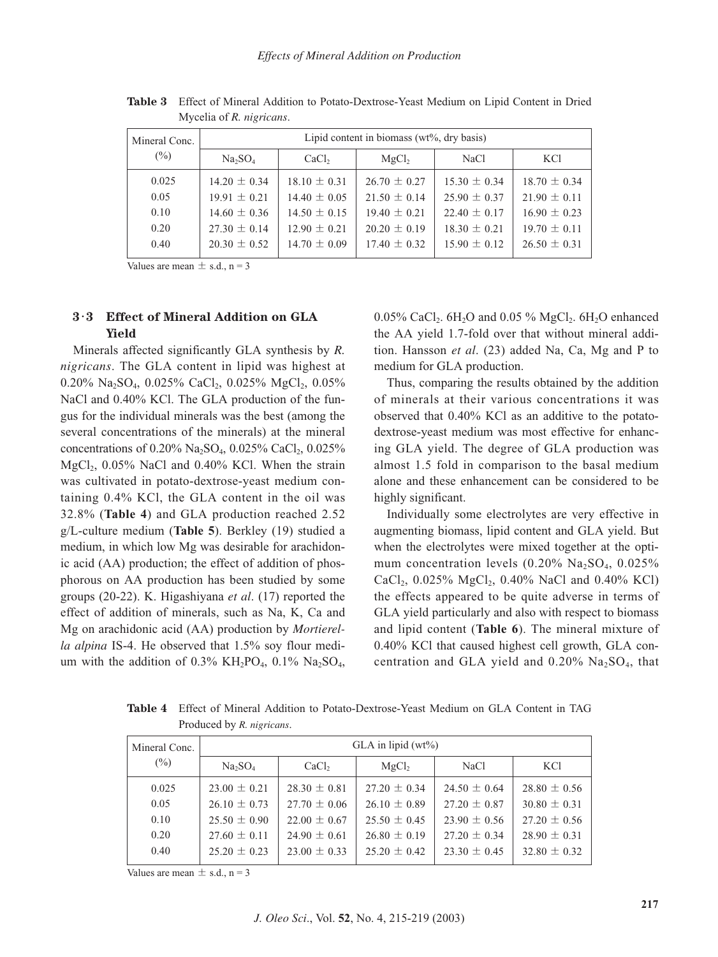| Mineral Conc. | Lipid content in biomass ( $wt\%$ , dry basis) |                   |                   |                  |                  |  |
|---------------|------------------------------------------------|-------------------|-------------------|------------------|------------------|--|
| $(\% )$       | Na <sub>2</sub> SO <sub>4</sub>                | CaCl <sub>2</sub> | MgCl <sub>2</sub> | NaCl             | KC <sub>1</sub>  |  |
| 0.025         | $14.20 \pm 0.34$                               | $18.10 \pm 0.31$  | $26.70 \pm 0.27$  | $15.30 \pm 0.34$ | $18.70 \pm 0.34$ |  |
| 0.05          | $19.91 \pm 0.21$                               | $14.40 \pm 0.05$  | $21.50 \pm 0.14$  | $25.90 \pm 0.37$ | $21.90 \pm 0.11$ |  |
| 0.10          | $14.60 \pm 0.36$                               | $14.50 \pm 0.15$  | $19.40 \pm 0.21$  | $22.40 \pm 0.17$ | $16.90 \pm 0.23$ |  |
| 0.20          | $27.30 \pm 0.14$                               | $12.90 \pm 0.21$  | $20.20 \pm 0.19$  | $18.30 \pm 0.21$ | $19.70 \pm 0.11$ |  |
| 0.40          | $20.30 \pm 0.52$                               | $14.70 \pm 0.09$  | $17.40 \pm 0.32$  | $15.90 \pm 0.12$ | $26.50 \pm 0.31$ |  |
|               |                                                |                   |                   |                  |                  |  |

**Table 3** Effect of Mineral Addition to Potato-Dextrose-Yeast Medium on Lipid Content in Dried Mycelia of *R. nigricans*.

Values are mean  $\pm$  s.d., n = 3

## **3**・**3 Effect of Mineral Addition on GLA Yield**

Minerals affected significantly GLA synthesis by *R. nigricans*. The GLA content in lipid was highest at 0.20% Na<sub>2</sub>SO<sub>4</sub>, 0.025% CaCl<sub>2</sub>, 0.025% MgCl<sub>2</sub>, 0.05% NaCl and 0.40% KCl. The GLA production of the fungus for the individual minerals was the best (among the several concentrations of the minerals) at the mineral concentrations of  $0.20\%$  Na<sub>2</sub>SO<sub>4</sub>,  $0.025\%$  CaCl<sub>2</sub>,  $0.025\%$  $MgCl<sub>2</sub>$ , 0.05% NaCl and 0.40% KCl. When the strain was cultivated in potato-dextrose-yeast medium containing 0.4% KCl, the GLA content in the oil was 32.8% (**Table 4**) and GLA production reached 2.52 g/L-culture medium (**Table 5**). Berkley (19) studied a medium, in which low Mg was desirable for arachidonic acid (AA) production; the effect of addition of phosphorous on AA production has been studied by some groups (20-22). K. Higashiyana *et al*. (17) reported the effect of addition of minerals, such as Na, K, Ca and Mg on arachidonic acid (AA) production by *Mortierella alpina* IS-4. He observed that 1.5% soy flour medium with the addition of  $0.3\%$  KH<sub>2</sub>PO<sub>4</sub>,  $0.1\%$  Na<sub>2</sub>SO<sub>4</sub>, 0.05% CaCl<sub>2</sub>.  $6H_2O$  and 0.05 % MgCl<sub>2</sub>.  $6H_2O$  enhanced the AA yield 1.7-fold over that without mineral addition. Hansson *et al*. (23) added Na, Ca, Mg and P to medium for GLA production.

Thus, comparing the results obtained by the addition of minerals at their various concentrations it was observed that 0.40% KCl as an additive to the potatodextrose-yeast medium was most effective for enhancing GLA yield. The degree of GLA production was almost 1.5 fold in comparison to the basal medium alone and these enhancement can be considered to be highly significant.

Individually some electrolytes are very effective in augmenting biomass, lipid content and GLA yield. But when the electrolytes were mixed together at the optimum concentration levels  $(0.20\% \text{ Na}_2\text{SO}_4, 0.025\%)$ CaCl<sub>2</sub>, 0.025% MgCl<sub>2</sub>, 0.40% NaCl and 0.40% KCl) the effects appeared to be quite adverse in terms of GLA yield particularly and also with respect to biomass and lipid content (**Table 6**). The mineral mixture of 0.40% KCl that caused highest cell growth, GLA concentration and GLA yield and  $0.20\%$  Na<sub>2</sub>SO<sub>4</sub>, that

**Table 4** Effect of Mineral Addition to Potato-Dextrose-Yeast Medium on GLA Content in TAG Produced by *R. nigricans*.

| Mineral Conc. | GLA in lipid $(wt\%)$           |                                        |                  |                  |                  |  |
|---------------|---------------------------------|----------------------------------------|------------------|------------------|------------------|--|
| $(\%)$        | Na <sub>2</sub> SO <sub>4</sub> | CaCl <sub>2</sub><br>MgCl <sub>2</sub> |                  | NaCl             | KCl              |  |
| 0.025         | $23.00 \pm 0.21$                | $28.30 \pm 0.81$                       | $27.20 \pm 0.34$ | $24.50 \pm 0.64$ | $28.80 \pm 0.56$ |  |
| 0.05          | $26.10 \pm 0.73$                | $27.70 \pm 0.06$                       | $26.10 \pm 0.89$ | $27.20 \pm 0.87$ | $30.80 \pm 0.31$ |  |
| 0.10          | $25.50 \pm 0.90$                | $22.00 \pm 0.67$                       | $25.50 \pm 0.45$ | $23.90 \pm 0.56$ | $27.20 \pm 0.56$ |  |
| 0.20          | $27.60 \pm 0.11$                | $24.90 \pm 0.61$                       | $26.80 \pm 0.19$ | $27.20 \pm 0.34$ | $28.90 \pm 0.31$ |  |
| 0.40          | $25.20 \pm 0.23$                | $23.00 \pm 0.33$                       | $25.20 \pm 0.42$ | $23.30 \pm 0.45$ | $32.80 \pm 0.32$ |  |

Values are mean  $\pm$  s.d., n = 3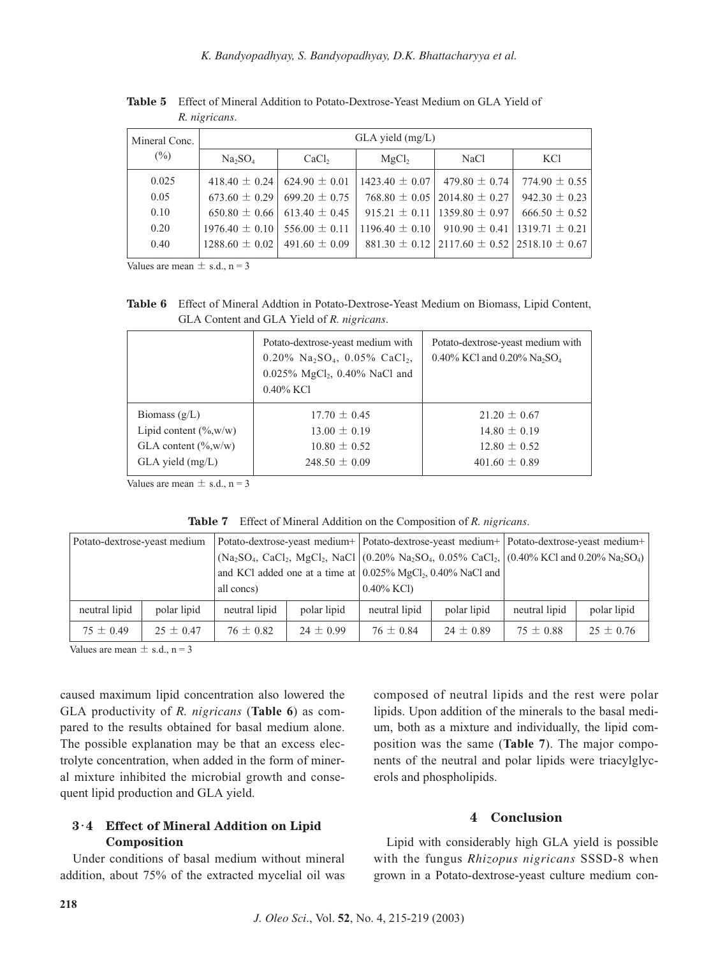*K. Bandyopadhyay, S. Bandyopadhyay, D.K. Bhattacharyya et al.*

| Mineral Conc. | $GLA$ yield $(mg/L)$            |                   |                    |                                                         |                    |  |
|---------------|---------------------------------|-------------------|--------------------|---------------------------------------------------------|--------------------|--|
| $(\%)$        | Na <sub>2</sub> SO <sub>4</sub> | CaCl <sub>2</sub> | MgCl <sub>2</sub>  | NaCl                                                    | <b>KCl</b>         |  |
| 0.025         | 418.40 $\pm$ 0.24               | $624.90 \pm 0.01$ | $1423.40 \pm 0.07$ | 479.80 $\pm$ 0.74                                       | 774.90 $\pm$ 0.55  |  |
| 0.05          | $673.60 \pm 0.29$               | $699.20 \pm 0.75$ |                    | $768.80 \pm 0.05$ 2014.80 $\pm$ 0.27                    | $942.30 \pm 0.23$  |  |
| 0.10          | $650.80 \pm 0.66$               | $613.40 \pm 0.45$ |                    | $915.21 \pm 0.11$   1359.80 $\pm$ 0.97                  | $666.50 \pm 0.52$  |  |
| 0.20          | $1976.40 \pm 0.10$              | $556.00 \pm 0.11$ |                    | $1196.40 \pm 0.10$ 910.90 $\pm$ 0.41                    | $1319.71 \pm 0.21$ |  |
| 0.40          | $1288.60 \pm 0.02$              | $491.60 \pm 0.09$ |                    | $881.30 \pm 0.12$ 2117.60 $\pm$ 0.52 2518.10 $\pm$ 0.67 |                    |  |

**Table 5** Effect of Mineral Addition to Potato-Dextrose-Yeast Medium on GLA Yield of *R. nigricans*.

Values are mean  $\pm$  s.d., n = 3

**Table 6** Effect of Mineral Addtion in Potato-Dextrose-Yeast Medium on Biomass, Lipid Content, GLA Content and GLA Yield of *R. nigricans*.

|                           | Potato-dextrose-yeast medium with<br>$0.20\%$ Na <sub>2</sub> SO <sub>4</sub> , 0.05% CaCl <sub>2</sub> ,<br>$0.025\%$ MgCl <sub>2</sub> , 0.40% NaCl and<br>$0.40\%$ KCl | Potato-dextrose-yeast medium with<br>0.40% KCl and 0.20% Na <sub>2</sub> SO <sub>4</sub> |
|---------------------------|---------------------------------------------------------------------------------------------------------------------------------------------------------------------------|------------------------------------------------------------------------------------------|
| Biomass $(g/L)$           | $17.70 \pm 0.45$                                                                                                                                                          | $21.20 \pm 0.67$                                                                         |
| Lipid content $(\% w/w)$  | $13.00 \pm 0.19$                                                                                                                                                          | $14.80 \pm 0.19$                                                                         |
| GLA content $(\%_{,w/w})$ | $10.80 \pm 0.52$                                                                                                                                                          | $12.80 \pm 0.52$                                                                         |
| GLA yield (mg/L)          | 248.50 $\pm$ 0.09                                                                                                                                                         | $401.60 \pm 0.89$                                                                        |

Values are mean  $\pm$  s.d., n = 3

**Table 7** Effect of Mineral Addition on the Composition of *R. nigricans*.

| Potato-dextrose-yeast medium |               |               |               | Potato-dextrose-yeast medium+ Potato-dextrose-yeast medium+ Potato-dextrose-yeast medium+ |                                                                                                       |               |               |               |
|------------------------------|---------------|---------------|---------------|-------------------------------------------------------------------------------------------|-------------------------------------------------------------------------------------------------------|---------------|---------------|---------------|
|                              |               |               |               |                                                                                           | $(Na_2SO_4, CaCl_2, MgCl_2, NaCl$ $(0.20\% Na_2SO_4, 0.05\% CaCl_2, (0.40\% KCl and 0.20\% Na_2SO_4)$ |               |               |               |
|                              |               |               |               |                                                                                           | and KCl added one at a time at $(0.025\% \text{ MgCl}_2, 0.40\% \text{ NaCl}$ and $($                 |               |               |               |
|                              |               |               | all concs)    |                                                                                           | $0.40\%$ KCl)                                                                                         |               |               |               |
|                              | neutral lipid | polar lipid   | neutral lipid | polar lipid                                                                               | neutral lipid                                                                                         | polar lipid   | neutral lipid | polar lipid   |
|                              | $75 \pm 0.49$ | $25 \pm 0.47$ | $76 \pm 0.82$ | $24 \pm 0.99$                                                                             | $76 \pm 0.84$                                                                                         | $24 \pm 0.89$ | $75 \pm 0.88$ | $25 \pm 0.76$ |

Values are mean  $\pm$  s.d., n = 3

caused maximum lipid concentration also lowered the GLA productivity of *R. nigricans* (**Table 6**) as compared to the results obtained for basal medium alone. The possible explanation may be that an excess electrolyte concentration, when added in the form of mineral mixture inhibited the microbial growth and consequent lipid production and GLA yield.

## **3**・**4 Effect of Mineral Addition on Lipid Composition**

Under conditions of basal medium without mineral addition, about 75% of the extracted mycelial oil was composed of neutral lipids and the rest were polar lipids. Upon addition of the minerals to the basal medium, both as a mixture and individually, the lipid composition was the same (**Table 7**). The major components of the neutral and polar lipids were triacylglycerols and phospholipids.

#### **4 Conclusion**

Lipid with considerably high GLA yield is possible with the fungus *Rhizopus nigricans* SSSD-8 when grown in a Potato-dextrose-yeast culture medium con